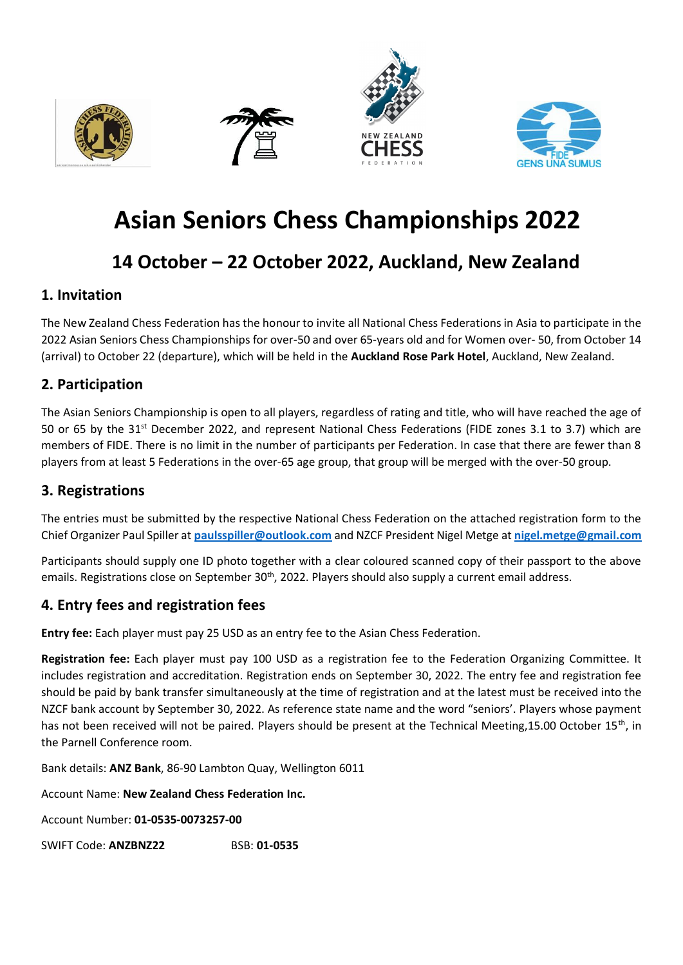







# **Asian Seniors Chess Championships 2022**

## **14 October – 22 October 2022, Auckland, New Zealand**

## **1. Invitation**

The New Zealand Chess Federation has the honour to invite all National Chess Federations in Asia to participate in the 2022 Asian Seniors Chess Championships for over-50 and over 65-years old and for Women over- 50, from October 14 (arrival) to October 22 (departure), which will be held in the **Auckland Rose Park Hotel**, Auckland, New Zealand.

## **2. Participation**

The Asian Seniors Championship is open to all players, regardless of rating and title, who will have reached the age of 50 or 65 by the 31st December 2022, and represent National Chess Federations (FIDE zones 3.1 to 3.7) which are members of FIDE. There is no limit in the number of participants per Federation. In case that there are fewer than 8 players from at least 5 Federations in the over-65 age group, that group will be merged with the over-50 group.

## **3. Registrations**

The entries must be submitted by the respective National Chess Federation on the attached registration form to the Chief Organizer Paul Spiller at **[paulsspiller@outlook.com](mailto:paulsspiller@outlook.com)** and NZCF President Nigel Metge at **[nigel.metge@gmail.com](mailto:nigel.metge@gmail.com)**

Participants should supply one ID photo together with a clear coloured scanned copy of their passport to the above emails. Registrations close on September 30<sup>th</sup>, 2022. Players should also supply a current email address.

## **4. Entry fees and registration fees**

**Entry fee:** Each player must pay 25 USD as an entry fee to the Asian Chess Federation.

**Registration fee:** Each player must pay 100 USD as a registration fee to the Federation Organizing Committee. It includes registration and accreditation. Registration ends on September 30, 2022. The entry fee and registration fee should be paid by bank transfer simultaneously at the time of registration and at the latest must be received into the NZCF bank account by September 30, 2022. As reference state name and the word "seniors'. Players whose payment has not been received will not be paired. Players should be present at the Technical Meeting,15.00 October 15<sup>th</sup>, in the Parnell Conference room.

Bank details: **ANZ Bank**, 86-90 Lambton Quay, Wellington 6011

Account Name: **New Zealand Chess Federation Inc.**

Account Number: **01-0535-0073257-00**

SWIFT Code: **ANZBNZ22** BSB: **01-0535**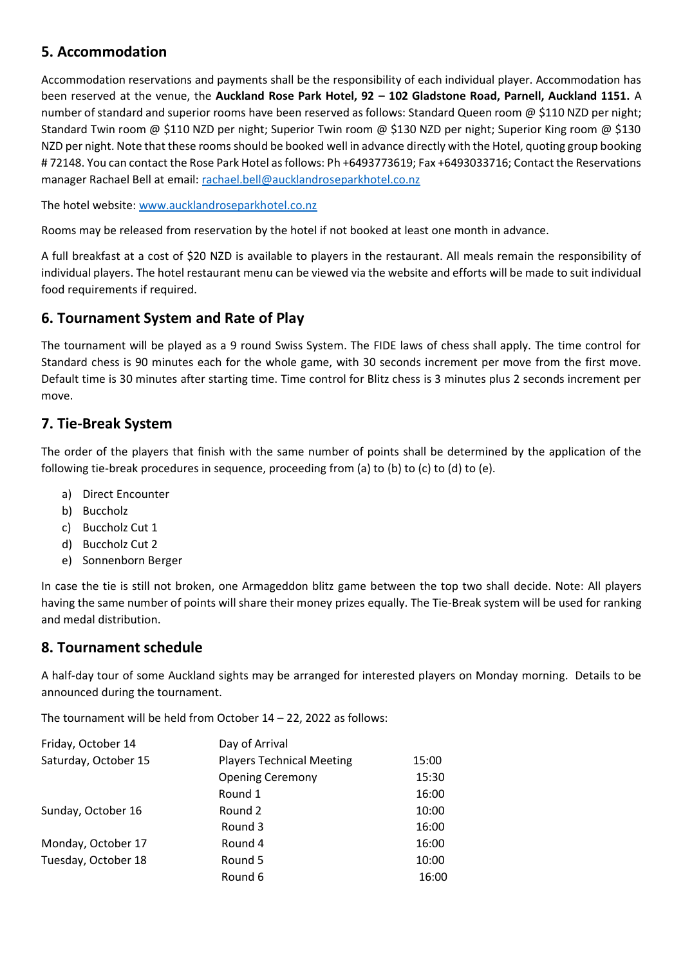### **5. Accommodation**

Accommodation reservations and payments shall be the responsibility of each individual player. Accommodation has been reserved at the venue, the **Auckland Rose Park Hotel, 92 – 102 Gladstone Road, Parnell, Auckland 1151.** A number of standard and superior rooms have been reserved as follows: Standard Queen room @ \$110 NZD per night; Standard Twin room @ \$110 NZD per night; Superior Twin room @ \$130 NZD per night; Superior King room @ \$130 NZD per night. Note that these rooms should be booked well in advance directly with the Hotel, quoting group booking # 72148. You can contact the Rose Park Hotel as follows: Ph +6493773619; Fax +6493033716; Contact the Reservations manager Rachael Bell at email: [rachael.bell@aucklandroseparkhotel.co.nz](mailto:rachael.bell@aucklandroseparkhotel.co.nz)

The hotel website: [www.aucklandroseparkhotel.co.nz](http://www.aucklandroseparkhotel.co.nz/)

Rooms may be released from reservation by the hotel if not booked at least one month in advance.

A full breakfast at a cost of \$20 NZD is available to players in the restaurant. All meals remain the responsibility of individual players. The hotel restaurant menu can be viewed via the website and efforts will be made to suit individual food requirements if required.

#### **6. Tournament System and Rate of Play**

The tournament will be played as a 9 round Swiss System. The FIDE laws of chess shall apply. The time control for Standard chess is 90 minutes each for the whole game, with 30 seconds increment per move from the first move. Default time is 30 minutes after starting time. Time control for Blitz chess is 3 minutes plus 2 seconds increment per move.

### **7. Tie-Break System**

The order of the players that finish with the same number of points shall be determined by the application of the following tie-break procedures in sequence, proceeding from (a) to (b) to (c) to (d) to (e).

- a) Direct Encounter
- b) Buccholz
- c) Buccholz Cut 1
- d) Buccholz Cut 2
- e) Sonnenborn Berger

In case the tie is still not broken, one Armageddon blitz game between the top two shall decide. Note: All players having the same number of points will share their money prizes equally. The Tie-Break system will be used for ranking and medal distribution.

#### **8. Tournament schedule**

A half-day tour of some Auckland sights may be arranged for interested players on Monday morning. Details to be announced during the tournament.

The tournament will be held from October 14 – 22, 2022 as follows:

| 15:00 |
|-------|
| 15:30 |
| 16:00 |
| 10:00 |
| 16:00 |
| 16:00 |
| 10:00 |
| 16:00 |
|       |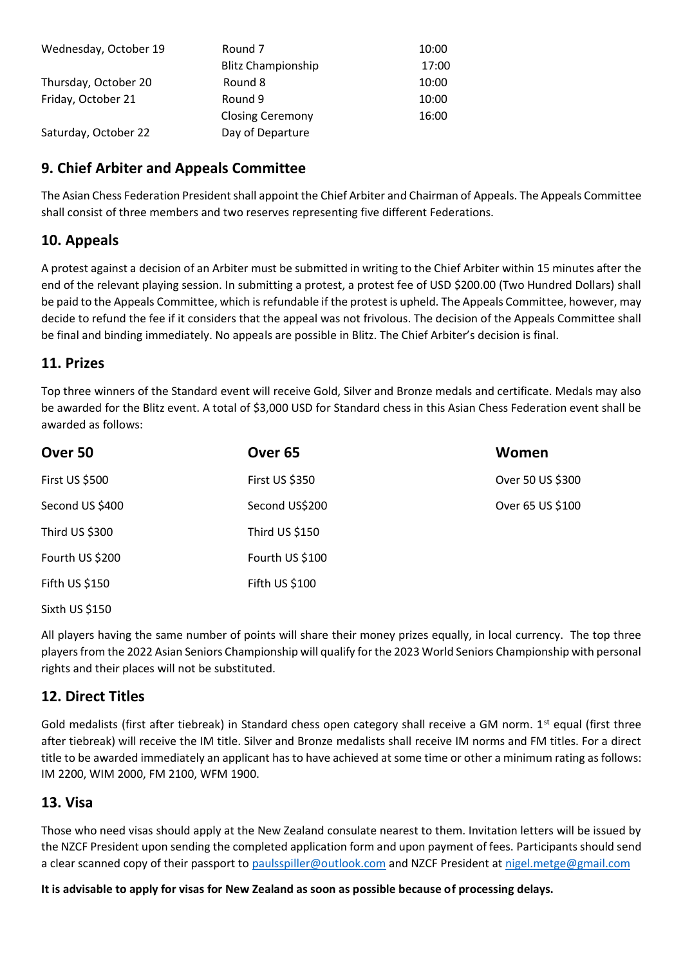| Wednesday, October 19 | Round 7                   | 10:00 |
|-----------------------|---------------------------|-------|
|                       | <b>Blitz Championship</b> | 17:00 |
| Thursday, October 20  | Round 8                   | 10:00 |
| Friday, October 21    | Round 9                   | 10:00 |
|                       | <b>Closing Ceremony</b>   | 16:00 |
| Saturday, October 22  | Day of Departure          |       |

## **9. Chief Arbiter and Appeals Committee**

The Asian Chess Federation President shall appoint the Chief Arbiter and Chairman of Appeals. The Appeals Committee shall consist of three members and two reserves representing five different Federations.

#### **10. Appeals**

A protest against a decision of an Arbiter must be submitted in writing to the Chief Arbiter within 15 minutes after the end of the relevant playing session. In submitting a protest, a protest fee of USD \$200.00 (Two Hundred Dollars) shall be paid to the Appeals Committee, which is refundable if the protest is upheld. The Appeals Committee, however, may decide to refund the fee if it considers that the appeal was not frivolous. The decision of the Appeals Committee shall be final and binding immediately. No appeals are possible in Blitz. The Chief Arbiter's decision is final.

#### **11. Prizes**

Top three winners of the Standard event will receive Gold, Silver and Bronze medals and certificate. Medals may also be awarded for the Blitz event. A total of \$3,000 USD for Standard chess in this Asian Chess Federation event shall be awarded as follows:

| Over 50         | Over <sub>65</sub>    | Women            |
|-----------------|-----------------------|------------------|
| First US \$500  | <b>First US \$350</b> | Over 50 US \$300 |
| Second US \$400 | Second US\$200        | Over 65 US \$100 |
| Third US \$300  | Third US \$150        |                  |
| Fourth US \$200 | Fourth US \$100       |                  |
| Fifth US \$150  | Fifth US \$100        |                  |
|                 |                       |                  |

Sixth US \$150

All players having the same number of points will share their money prizes equally, in local currency. The top three players from the 2022 Asian Seniors Championship will qualify for the 2023 World Seniors Championship with personal rights and their places will not be substituted.

#### **12. Direct Titles**

Gold medalists (first after tiebreak) in Standard chess open category shall receive a GM norm.  $1^{st}$  equal (first three after tiebreak) will receive the IM title. Silver and Bronze medalists shall receive IM norms and FM titles. For a direct title to be awarded immediately an applicant has to have achieved at some time or other a minimum rating as follows: IM 2200, WIM 2000, FM 2100, WFM 1900.

#### **13. Visa**

Those who need visas should apply at the New Zealand consulate nearest to them. Invitation letters will be issued by the NZCF President upon sending the completed application form and upon payment of fees. Participants should send a clear scanned copy of their passport to [paulsspiller@outlook.com](mailto:paulsspiller@outlook.com) and NZCF President a[t nigel.metge@gmail.com](mailto:nigel.metge@gmail.com)

**It is advisable to apply for visas for New Zealand as soon as possible because of processing delays.**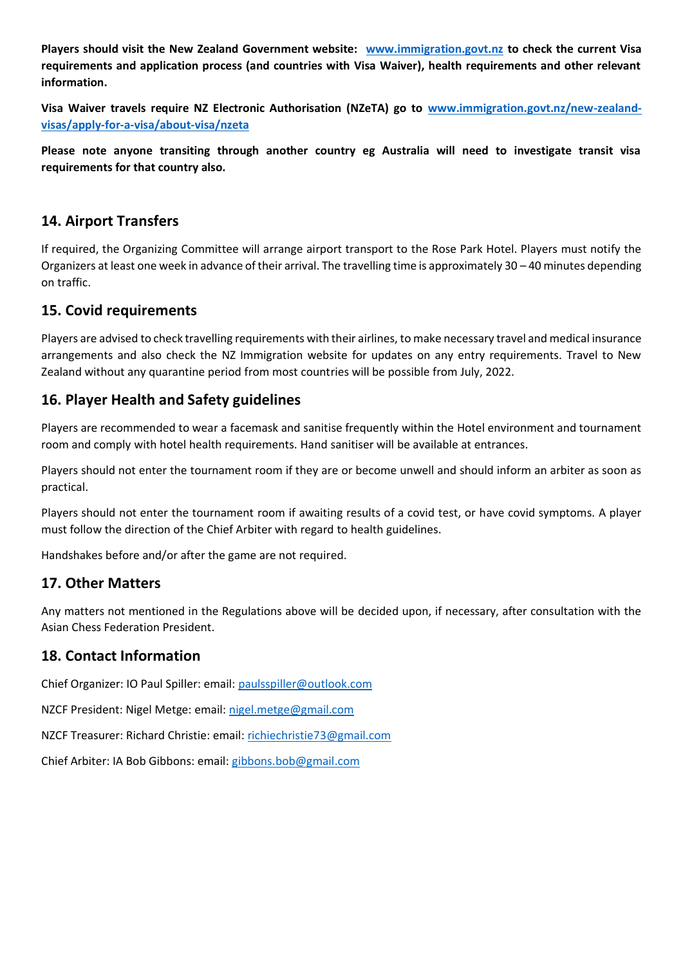**Players should visit the New Zealand Government website: [www.immigration.govt.nz](http://www.immigration.govt.nz/) to check the current Visa requirements and application process (and countries with Visa Waiver), health requirements and other relevant information.** 

**Visa Waiver travels require NZ Electronic Authorisation (NZeTA) go to [www.immigration.govt.nz/new-zealand](http://www.immigration.govt.nz/new-zealand-visas/apply-for-a-visa/about-visa/nzeta)[visas/apply-for-a-visa/about-visa/nzeta](http://www.immigration.govt.nz/new-zealand-visas/apply-for-a-visa/about-visa/nzeta)**

**Please note anyone transiting through another country eg Australia will need to investigate transit visa requirements for that country also.**

#### **14. Airport Transfers**

If required, the Organizing Committee will arrange airport transport to the Rose Park Hotel. Players must notify the Organizers at least one week in advance of their arrival. The travelling time is approximately 30 – 40 minutes depending on traffic.

#### **15. Covid requirements**

Players are advised to check travelling requirements with their airlines, to make necessary travel and medical insurance arrangements and also check the NZ Immigration website for updates on any entry requirements. Travel to New Zealand without any quarantine period from most countries will be possible from July, 2022.

#### **16. Player Health and Safety guidelines**

Players are recommended to wear a facemask and sanitise frequently within the Hotel environment and tournament room and comply with hotel health requirements. Hand sanitiser will be available at entrances.

Players should not enter the tournament room if they are or become unwell and should inform an arbiter as soon as practical.

Players should not enter the tournament room if awaiting results of a covid test, or have covid symptoms. A player must follow the direction of the Chief Arbiter with regard to health guidelines.

Handshakes before and/or after the game are not required.

#### **17. Other Matters**

Any matters not mentioned in the Regulations above will be decided upon, if necessary, after consultation with the Asian Chess Federation President.

#### **18. Contact Information**

Chief Organizer: IO Paul Spiller: email: [paulsspiller@outlook.com](mailto:paulsspiller@outlook.com)

NZCF President: Nigel Metge: email[: nigel.metge@gmail.com](mailto:nigel.metge@gmail.com)

NZCF Treasurer: Richard Christie: email: [richiechristie73@gmail.com](mailto:richiechristie73@gmail.com)

Chief Arbiter: IA Bob Gibbons: email: [gibbons.bob@gmail.com](mailto:gibbons.bob@gmail.com)